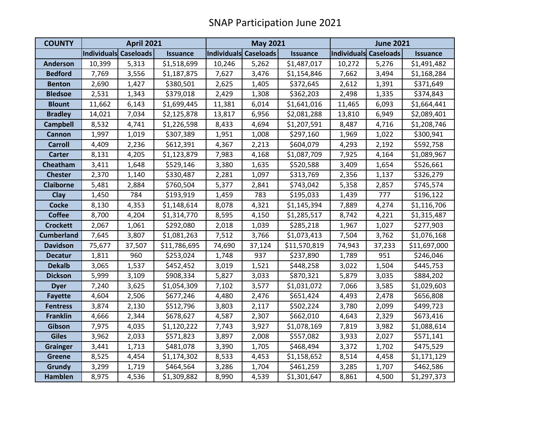| <b>COUNTY</b>     | <b>April 2021</b>     |        |                 | <b>May 2021</b>       |        |                 | <b>June 2021</b>      |        |                 |
|-------------------|-----------------------|--------|-----------------|-----------------------|--------|-----------------|-----------------------|--------|-----------------|
|                   | Individuals Caseloads |        | <b>Issuance</b> | Individuals Caseloads |        | <b>Issuance</b> | Individuals Caseloads |        | <b>Issuance</b> |
| <b>Anderson</b>   | 10,399                | 5,313  | \$1,518,699     | 10,246                | 5,262  | \$1,487,017     | 10,272                | 5,276  | \$1,491,482     |
| <b>Bedford</b>    | 7,769                 | 3,556  | \$1,187,875     | 7,627                 | 3,476  | \$1,154,846     | 7,662                 | 3,494  | \$1,168,284     |
| <b>Benton</b>     | 2,690                 | 1,427  | \$380,501       | 2,625                 | 1,405  | \$372,645       | 2,612                 | 1,391  | \$371,649       |
| <b>Bledsoe</b>    | 2,531                 | 1,343  | \$379,018       | 2,429                 | 1,308  | \$362,203       | 2,498                 | 1,335  | \$374,843       |
| <b>Blount</b>     | 11,662                | 6,143  | \$1,699,445     | 11,381                | 6,014  | \$1,641,016     | 11,465                | 6,093  | \$1,664,441     |
| <b>Bradley</b>    | 14,021                | 7,034  | \$2,125,878     | 13,817                | 6,956  | \$2,081,288     | 13,810                | 6,949  | \$2,089,401     |
| <b>Campbell</b>   | 8,532                 | 4,741  | \$1,226,598     | 8,433                 | 4,694  | \$1,207,591     | 8,487                 | 4,716  | \$1,208,746     |
| <b>Cannon</b>     | 1,997                 | 1,019  | \$307,389       | 1,951                 | 1,008  | \$297,160       | 1,969                 | 1,022  | \$300,941       |
| <b>Carroll</b>    | 4,409                 | 2,236  | \$612,391       | 4,367                 | 2,213  | \$604,079       | 4,293                 | 2,192  | \$592,758       |
| <b>Carter</b>     | 8,131                 | 4,205  | \$1,123,879     | 7,983                 | 4,168  | \$1,087,709     | 7,925                 | 4,164  | \$1,089,967     |
| Cheatham          | 3,411                 | 1,648  | \$529,146       | 3,380                 | 1,635  | \$520,588       | 3,409                 | 1,654  | \$526,661       |
| <b>Chester</b>    | 2,370                 | 1,140  | \$330,487       | 2,281                 | 1,097  | \$313,769       | 2,356                 | 1,137  | \$326,279       |
| <b>Claiborne</b>  | 5,481                 | 2,884  | \$760,504       | 5,377                 | 2,841  | \$743,042       | 5,358                 | 2,857  | \$745,574       |
| Clay              | 1,450                 | 784    | \$193,919       | 1,459                 | 783    | \$195,033       | 1,439                 | 777    | \$196,122       |
| <b>Cocke</b>      | 8,130                 | 4,353  | \$1,148,614     | 8,078                 | 4,321  | \$1,145,394     | 7,889                 | 4,274  | \$1,116,706     |
| <b>Coffee</b>     | 8,700                 | 4,204  | \$1,314,770     | 8,595                 | 4,150  | \$1,285,517     | 8,742                 | 4,221  | \$1,315,487     |
| <b>Crockett</b>   | 2,067                 | 1,061  | \$292,080       | 2,018                 | 1,039  | \$285,218       | 1,967                 | 1,027  | \$277,903       |
| <b>Cumberland</b> | 7,645                 | 3,807  | \$1,081,263     | 7,512                 | 3,766  | \$1,073,413     | 7,504                 | 3,762  | \$1,076,168     |
| <b>Davidson</b>   | 75,677                | 37,507 | \$11,786,695    | 74,690                | 37,124 | \$11,570,819    | 74,943                | 37,233 | \$11,697,000    |
| <b>Decatur</b>    | 1,811                 | 960    | \$253,024       | 1,748                 | 937    | \$237,890       | 1,789                 | 951    | \$246,046       |
| <b>Dekalb</b>     | 3,065                 | 1,537  | \$452,452       | 3,019                 | 1,521  | \$448,258       | 3,022                 | 1,504  | \$445,753       |
| <b>Dickson</b>    | 5,999                 | 3,109  | \$908,334       | 5,827                 | 3,033  | \$870,321       | 5,879                 | 3,035  | \$884,202       |
| <b>Dyer</b>       | 7,240                 | 3,625  | \$1,054,309     | 7,102                 | 3,577  | \$1,031,072     | 7,066                 | 3,585  | \$1,029,603     |
| <b>Fayette</b>    | 4,604                 | 2,506  | \$677,246       | 4,480                 | 2,476  | \$651,424       | 4,493                 | 2,478  | \$656,808       |
| <b>Fentress</b>   | 3,874                 | 2,130  | \$512,796       | 3,803                 | 2,117  | \$502,224       | 3,780                 | 2,099  | \$499,723       |
| <b>Franklin</b>   | 4,666                 | 2,344  | \$678,627       | 4,587                 | 2,307  | \$662,010       | 4,643                 | 2,329  | \$673,416       |
| Gibson            | 7,975                 | 4,035  | \$1,120,222     | 7,743                 | 3,927  | \$1,078,169     | 7,819                 | 3,982  | \$1,088,614     |
| <b>Giles</b>      | 3,962                 | 2,033  | \$571,823       | 3,897                 | 2,008  | \$557,082       | 3,933                 | 2,027  | \$571,141       |
| <b>Grainger</b>   | 3,441                 | 1,713  | \$481,078       | 3,390                 | 1,705  | \$468,494       | 3,372                 | 1,702  | \$475,529       |
| <b>Greene</b>     | 8,525                 | 4,454  | \$1,174,302     | 8,533                 | 4,453  | \$1,158,652     | 8,514                 | 4,458  | \$1,171,129     |
| Grundy            | 3,299                 | 1,719  | \$464,564       | 3,286                 | 1,704  | \$461,259       | 3,285                 | 1,707  | \$462,586       |
| <b>Hamblen</b>    | 8,975                 | 4,536  | \$1,309,882     | 8,990                 | 4,539  | \$1,301,647     | 8,861                 | 4,500  | \$1,297,373     |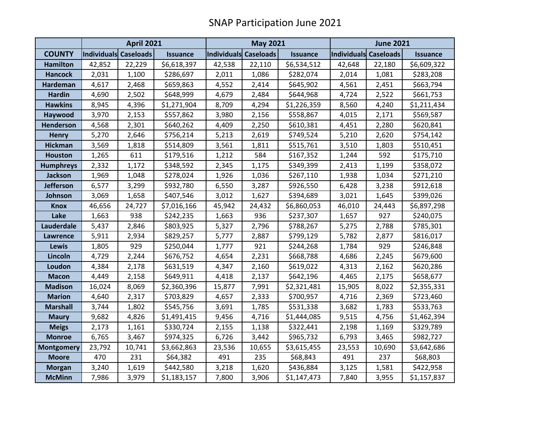|                   | <b>April 2021</b>            |        |                 |                       | <b>May 2021</b> |                 |        | <b>June 2021</b>      |                 |  |
|-------------------|------------------------------|--------|-----------------|-----------------------|-----------------|-----------------|--------|-----------------------|-----------------|--|
| <b>COUNTY</b>     | <b>Individuals Caseloads</b> |        | <b>Issuance</b> | Individuals Caseloads |                 | <b>Issuance</b> |        | Individuals Caseloads | <b>Issuance</b> |  |
| <b>Hamilton</b>   | 42,852                       | 22,229 | \$6,618,397     | 42,538                | 22,110          | \$6,534,512     | 42,648 | 22,180                | \$6,609,322     |  |
| <b>Hancock</b>    | 2,031                        | 1,100  | \$286,697       | 2,011                 | 1,086           | \$282,074       | 2,014  | 1,081                 | \$283,208       |  |
| <b>Hardeman</b>   | 4,617                        | 2,468  | \$659,863       | 4,552                 | 2,414           | \$645,902       | 4,561  | 2,451                 | \$663,794       |  |
| <b>Hardin</b>     | 4,690                        | 2,502  | \$648,999       | 4,679                 | 2,484           | \$644,968       | 4,724  | 2,522                 | \$661,753       |  |
| <b>Hawkins</b>    | 8,945                        | 4,396  | \$1,271,904     | 8,709                 | 4,294           | \$1,226,359     | 8,560  | 4,240                 | \$1,211,434     |  |
| Haywood           | 3,970                        | 2,153  | \$557,862       | 3,980                 | 2,156           | \$558,867       | 4,015  | 2,171                 | \$569,587       |  |
| Henderson         | 4,568                        | 2,301  | \$640,262       | 4,409                 | 2,250           | \$610,381       | 4,451  | 2,280                 | \$620,841       |  |
| <b>Henry</b>      | 5,270                        | 2,646  | \$756,214       | 5,213                 | 2,619           | \$749,524       | 5,210  | 2,620                 | \$754,142       |  |
| <b>Hickman</b>    | 3,569                        | 1,818  | \$514,809       | 3,561                 | 1,811           | \$515,761       | 3,510  | 1,803                 | \$510,451       |  |
| <b>Houston</b>    | 1,265                        | 611    | \$179,516       | 1,212                 | 584             | \$167,352       | 1,244  | 592                   | \$175,710       |  |
| <b>Humphreys</b>  | 2,332                        | 1,172  | \$348,592       | 2,345                 | 1,175           | \$349,399       | 2,413  | 1,199                 | \$358,072       |  |
| Jackson           | 1,969                        | 1,048  | \$278,024       | 1,926                 | 1,036           | \$267,110       | 1,938  | 1,034                 | \$271,210       |  |
| <b>Jefferson</b>  | 6,577                        | 3,299  | \$932,780       | 6,550                 | 3,287           | \$926,550       | 6,428  | 3,238                 | \$912,618       |  |
| Johnson           | 3,069                        | 1,658  | \$407,546       | 3,012                 | 1,627           | \$394,689       | 3,021  | 1,645                 | \$399,026       |  |
| <b>Knox</b>       | 46,656                       | 24,727 | \$7,016,166     | 45,942                | 24,432          | \$6,860,053     | 46,010 | 24,443                | \$6,897,298     |  |
| Lake              | 1,663                        | 938    | \$242,235       | 1,663                 | 936             | \$237,307       | 1,657  | 927                   | \$240,075       |  |
| Lauderdale        | 5,437                        | 2,846  | \$803,925       | 5,327                 | 2,796           | \$788,267       | 5,275  | 2,788                 | \$785,301       |  |
| Lawrence          | 5,911                        | 2,934  | \$829,257       | 5,777                 | 2,887           | \$799,129       | 5,782  | 2,877                 | \$816,017       |  |
| Lewis             | 1,805                        | 929    | \$250,044       | 1,777                 | 921             | \$244,268       | 1,784  | 929                   | \$246,848       |  |
| Lincoln           | 4,729                        | 2,244  | \$676,752       | 4,654                 | 2,231           | \$668,788       | 4,686  | 2,245                 | \$679,600       |  |
| Loudon            | 4,384                        | 2,178  | \$631,519       | 4,347                 | 2,160           | \$619,022       | 4,313  | 2,162                 | \$620,286       |  |
| <b>Macon</b>      | 4,449                        | 2,158  | \$649,911       | 4,418                 | 2,137           | \$642,196       | 4,465  | 2,175                 | \$658,677       |  |
| <b>Madison</b>    | 16,024                       | 8,069  | \$2,360,396     | 15,877                | 7,991           | \$2,321,481     | 15,905 | 8,022                 | \$2,355,331     |  |
| <b>Marion</b>     | 4,640                        | 2,317  | \$703,829       | 4,657                 | 2,333           | \$700,957       | 4,716  | 2,369                 | \$723,460       |  |
| <b>Marshall</b>   | 3,744                        | 1,802  | \$545,756       | 3,691                 | 1,785           | \$531,338       | 3,682  | 1,783                 | \$533,763       |  |
| <b>Maury</b>      | 9,682                        | 4,826  | \$1,491,415     | 9,456                 | 4,716           | \$1,444,085     | 9,515  | 4,756                 | \$1,462,394     |  |
| <b>Meigs</b>      | 2,173                        | 1,161  | \$330,724       | 2,155                 | 1,138           | \$322,441       | 2,198  | 1,169                 | \$329,789       |  |
| <b>Monroe</b>     | 6,765                        | 3,467  | \$974,325       | 6,726                 | 3,442           | \$965,732       | 6,793  | 3,465                 | \$982,727       |  |
| <b>Montgomery</b> | 23,792                       | 10,741 | \$3,662,863     | 23,536                | 10,655          | \$3,615,455     | 23,553 | 10,690                | \$3,642,686     |  |
| <b>Moore</b>      | 470                          | 231    | \$64,382        | 491                   | 235             | \$68,843        | 491    | 237                   | \$68,803        |  |
| <b>Morgan</b>     | 3,240                        | 1,619  | \$442,580       | 3,218                 | 1,620           | \$436,884       | 3,125  | 1,581                 | \$422,958       |  |
| <b>McMinn</b>     | 7,986                        | 3,979  | \$1,183,157     | 7,800                 | 3,906           | \$1,147,473     | 7,840  | 3,955                 | \$1,157,837     |  |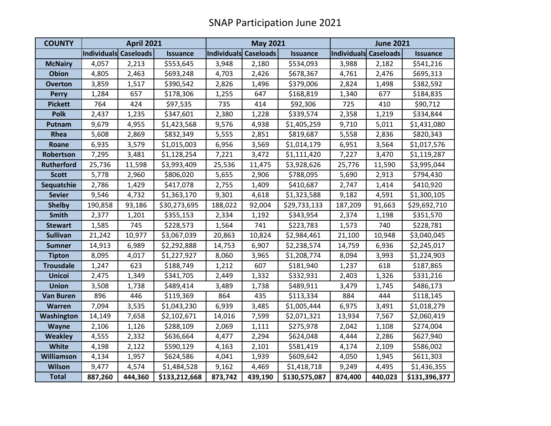| <b>COUNTY</b>     | <b>April 2021</b>     |         |                 | <b>May 2021</b>       |         |                 | <b>June 2021</b>      |         |                 |
|-------------------|-----------------------|---------|-----------------|-----------------------|---------|-----------------|-----------------------|---------|-----------------|
|                   | Individuals Caseloads |         | <b>Issuance</b> | Individuals Caseloads |         | <b>Issuance</b> | Individuals Caseloads |         | <b>Issuance</b> |
| <b>McNairy</b>    | 4,057                 | 2,213   | \$553,645       | 3,948                 | 2,180   | \$534,093       | 3,988                 | 2,182   | \$541,216       |
| <b>Obion</b>      | 4,805                 | 2,463   | \$693,248       | 4,703                 | 2,426   | \$678,367       | 4,761                 | 2,476   | \$695,313       |
| <b>Overton</b>    | 3,859                 | 1,517   | \$390,542       | 2,826                 | 1,496   | \$379,006       | 2,824                 | 1,498   | \$382,592       |
| <b>Perry</b>      | 1,284                 | 657     | \$178,306       | 1,255                 | 647     | \$168,819       | 1,340                 | 677     | \$184,835       |
| <b>Pickett</b>    | 764                   | 424     | \$97,535        | 735                   | 414     | \$92,306        | 725                   | 410     | \$90,712        |
| <b>Polk</b>       | 2,437                 | 1,235   | \$347,601       | 2,380                 | 1,228   | \$339,574       | 2,358                 | 1,219   | \$334,844       |
| Putnam            | 9,679                 | 4,955   | \$1,423,568     | 9,576                 | 4,938   | \$1,405,259     | 9,710                 | 5,011   | \$1,431,080     |
| Rhea              | 5,608                 | 2,869   | \$832,349       | 5,555                 | 2,851   | \$819,687       | 5,558                 | 2,836   | \$820,343       |
| Roane             | 6,935                 | 3,579   | \$1,015,003     | 6,956                 | 3,569   | \$1,014,179     | 6,951                 | 3,564   | \$1,017,576     |
| Robertson         | 7,295                 | 3,481   | \$1,128,254     | 7,221                 | 3,472   | \$1,111,420     | 7,227                 | 3,470   | \$1,119,287     |
| <b>Rutherford</b> | 25,736                | 11,598  | \$3,993,409     | 25,536                | 11,475  | \$3,928,626     | 25,776                | 11,590  | \$3,995,044     |
| <b>Scott</b>      | 5,778                 | 2,960   | \$806,020       | 5,655                 | 2,906   | \$788,095       | 5,690                 | 2,913   | \$794,430       |
| Sequatchie        | 2,786                 | 1,429   | \$417,078       | 2,755                 | 1,409   | \$410,687       | 2,747                 | 1,414   | \$410,920       |
| <b>Sevier</b>     | 9,546                 | 4,732   | \$1,363,170     | 9,301                 | 4,618   | \$1,323,588     | 9,182                 | 4,591   | \$1,300,105     |
| <b>Shelby</b>     | 190,858               | 93,186  | \$30,273,695    | 188,022               | 92,004  | \$29,733,133    | 187,209               | 91,663  | \$29,692,710    |
| <b>Smith</b>      | 2,377                 | 1,201   | \$355,153       | 2,334                 | 1,192   | \$343,954       | 2,374                 | 1,198   | \$351,570       |
| <b>Stewart</b>    | 1,585                 | 745     | \$228,573       | 1,564                 | 741     | \$223,783       | 1,573                 | 740     | \$228,781       |
| <b>Sullivan</b>   | 21,242                | 10,977  | \$3,067,039     | 20,863                | 10,824  | \$2,984,461     | 21,100                | 10,948  | \$3,040,045     |
| <b>Sumner</b>     | 14,913                | 6,989   | \$2,292,888     | 14,753                | 6,907   | \$2,238,574     | 14,759                | 6,936   | \$2,245,017     |
| <b>Tipton</b>     | 8,095                 | 4,017   | \$1,227,927     | 8,060                 | 3,965   | \$1,208,774     | 8,094                 | 3,993   | \$1,224,903     |
| <b>Trousdale</b>  | 1,247                 | 623     | \$188,749       | 1,212                 | 607     | \$181,940       | 1,237                 | 618     | \$187,865       |
| <b>Unicoi</b>     | 2,475                 | 1,349   | \$341,705       | 2,449                 | 1,332   | \$332,931       | 2,403                 | 1,326   | \$331,216       |
| <b>Union</b>      | 3,508                 | 1,738   | \$489,414       | 3,489                 | 1,738   | \$489,911       | 3,479                 | 1,745   | \$486,173       |
| <b>Van Buren</b>  | 896                   | 446     | \$119,369       | 864                   | 435     | \$113,334       | 884                   | 444     | \$118,145       |
| <b>Warren</b>     | 7,094                 | 3,535   | \$1,043,230     | 6,939                 | 3,485   | \$1,005,444     | 6,975                 | 3,491   | \$1,018,279     |
| Washington        | 14,149                | 7,658   | \$2,102,671     | 14,016                | 7,599   | \$2,071,321     | 13,934                | 7,567   | \$2,060,419     |
| Wayne             | 2,106                 | 1,126   | \$288,109       | 2,069                 | 1,111   | \$275,978       | 2,042                 | 1,108   | \$274,004       |
| <b>Weakley</b>    | 4,555                 | 2,332   | \$636,664       | 4,477                 | 2,294   | \$624,048       | 4,444                 | 2,286   | \$627,940       |
| White             | 4,198                 | 2,122   | \$590,129       | 4,163                 | 2,101   | \$581,419       | 4,174                 | 2,109   | \$586,002       |
| <b>Williamson</b> | 4,134                 | 1,957   | \$624,586       | 4,041                 | 1,939   | \$609,642       | 4,050                 | 1,945   | \$611,303       |
| <b>Wilson</b>     | 9,477                 | 4,574   | \$1,484,528     | 9,162                 | 4,469   | \$1,418,718     | 9,249                 | 4,495   | \$1,436,355     |
| <b>Total</b>      | 887,260               | 444,360 | \$133,212,668   | 873,742               | 439,190 | \$130,575,087   | 874,400               | 440,023 | \$131,396,377   |